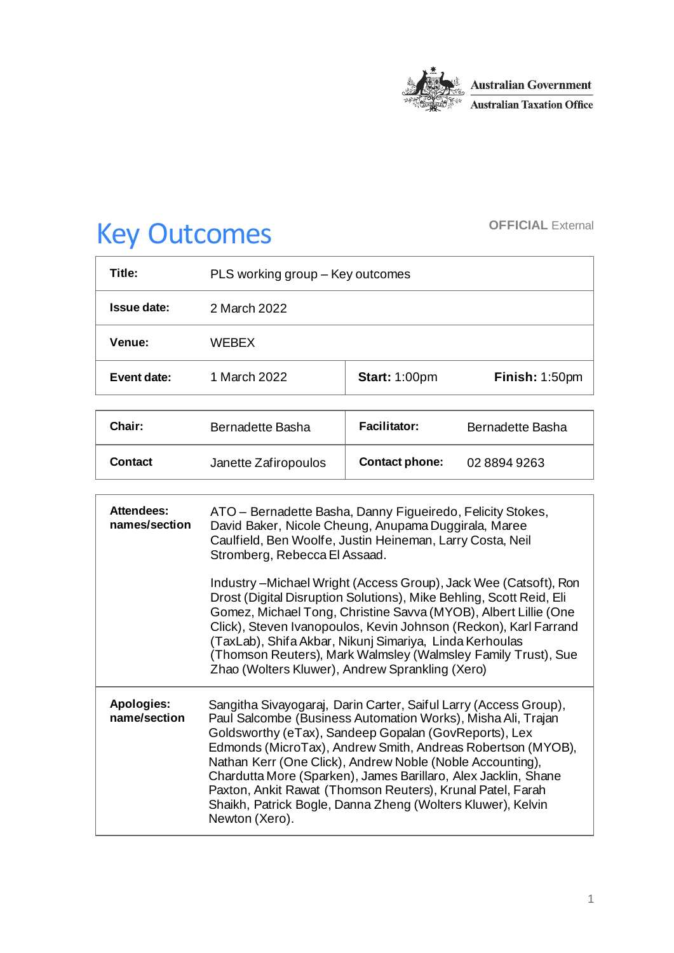

# Key Outcomes **OFFICIAL External**

| Title:      | PLS working group – Key outcomes |                      |                |
|-------------|----------------------------------|----------------------|----------------|
| Issue date: | 2 March 2022                     |                      |                |
| Venue:      | WEBEX                            |                      |                |
| Event date: | 1 March 2022                     | <b>Start: 1:00pm</b> | Finish: 1:50pm |

| Chair:  | Bernadette Basha     | <b>Facilitator:</b>   | Bernadette Basha |
|---------|----------------------|-----------------------|------------------|
| Contact | Janette Zafiropoulos | <b>Contact phone:</b> | 0288949263       |

| Attendees:<br>names/section | ATO – Bernadette Basha, Danny Figueiredo, Felicity Stokes,<br>David Baker, Nicole Cheung, Anupama Duggirala, Maree<br>Caulfield, Ben Woolfe, Justin Heineman, Larry Costa, Neil<br>Stromberg, Rebecca El Assaad.                                                                                                                                                                                                                                                                                                                       |  |
|-----------------------------|----------------------------------------------------------------------------------------------------------------------------------------------------------------------------------------------------------------------------------------------------------------------------------------------------------------------------------------------------------------------------------------------------------------------------------------------------------------------------------------------------------------------------------------|--|
|                             | Industry – Michael Wright (Access Group), Jack Wee (Catsoft), Ron<br>Drost (Digital Disruption Solutions), Mike Behling, Scott Reid, Eli<br>Gomez, Michael Tong, Christine Savva (MYOB), Albert Lillie (One<br>Click), Steven Ivanopoulos, Kevin Johnson (Reckon), Karl Farrand<br>(TaxLab), Shifa Akbar, Nikunj Simariya, Linda Kerhoulas<br>(Thomson Reuters), Mark Walmsley (Walmsley Family Trust), Sue<br>Zhao (Wolters Kluwer), Andrew Sprankling (Xero)                                                                         |  |
| Apologies:<br>name/section  | Sangitha Sivayogaraj, Darin Carter, Saiful Larry (Access Group),<br>Paul Salcombe (Business Automation Works), Misha Ali, Trajan<br>Goldsworthy (eTax), Sandeep Gopalan (GovReports), Lex<br>Edmonds (MicroTax), Andrew Smith, Andreas Robertson (MYOB),<br>Nathan Kerr (One Click), Andrew Noble (Noble Accounting),<br>Chardutta More (Sparken), James Barillaro, Alex Jacklin, Shane<br>Paxton, Ankit Rawat (Thomson Reuters), Krunal Patel, Farah<br>Shaikh, Patrick Bogle, Danna Zheng (Wolters Kluwer), Kelvin<br>Newton (Xero). |  |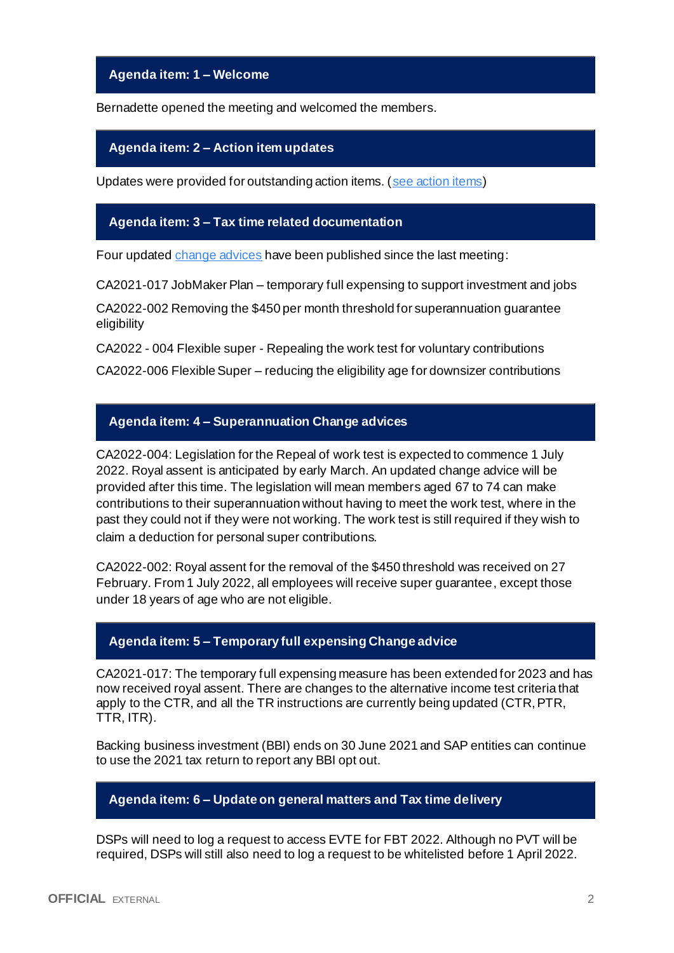## **Agenda item: 1 – Welcome**

Bernadette opened the meeting and welcomed the members.

### **Agenda item: 2 – Action item updates**

Updates were provided for outstanding action items. [\(see action items\)](https://developer.sbr.gov.au/collaborate/display/DSPCOLLAB/PLSWG+action+items)

## **Agenda item: 3 – Tax time related documentation**

Four update[d change advices](https://developer.sbr.gov.au/collaborate/display/DSPCOLLAB/Controlled+information) have been published since the last meeting:

CA2021-017 JobMaker Plan – temporary full expensing to support investment and jobs

CA2022-002 Removing the \$450 per month threshold for superannuation guarantee eligibility

CA2022 - 004 Flexible super - Repealing the work test for voluntary contributions

CA2022-006 Flexible Super – reducing the eligibility age for downsizer contributions

# **Agenda item: 4 – Superannuation Change advices**

CA2022-004: Legislation for the Repeal of work test is expected to commence 1 July 2022. Royal assent is anticipated by early March. An updated change advice will be provided after this time. The legislation will mean members aged 67 to 74 can make contributions to their superannuation without having to meet the work test, where in the past they could not if they were not working. The work test is still required if they wish to claim a deduction for personal super contributions.

CA2022-002: Royal assent for the removal of the \$450 threshold was received on 27 February. From 1 July 2022, all employees will receive super guarantee, except those under 18 years of age who are not eligible.

# **Agenda item: 5 – Temporary full expensing Change advice**

CA2021-017: The temporary full expensing measure has been extended for 2023 and has now received royal assent. There are changes to the alternative income test criteria that apply to the CTR, and all the TR instructions are currently being updated (CTR, PTR, TTR, ITR).

Backing business investment (BBI) ends on 30 June 2021 and SAP entities can continue to use the 2021 tax return to report any BBI opt out.

# **Agenda item: 6 – Update on general matters and Tax time delivery**

DSPs will need to log a request to access EVTE for FBT 2022. Although no PVT will be required, DSPs will still also need to log a request to be whitelisted before 1 April 2022.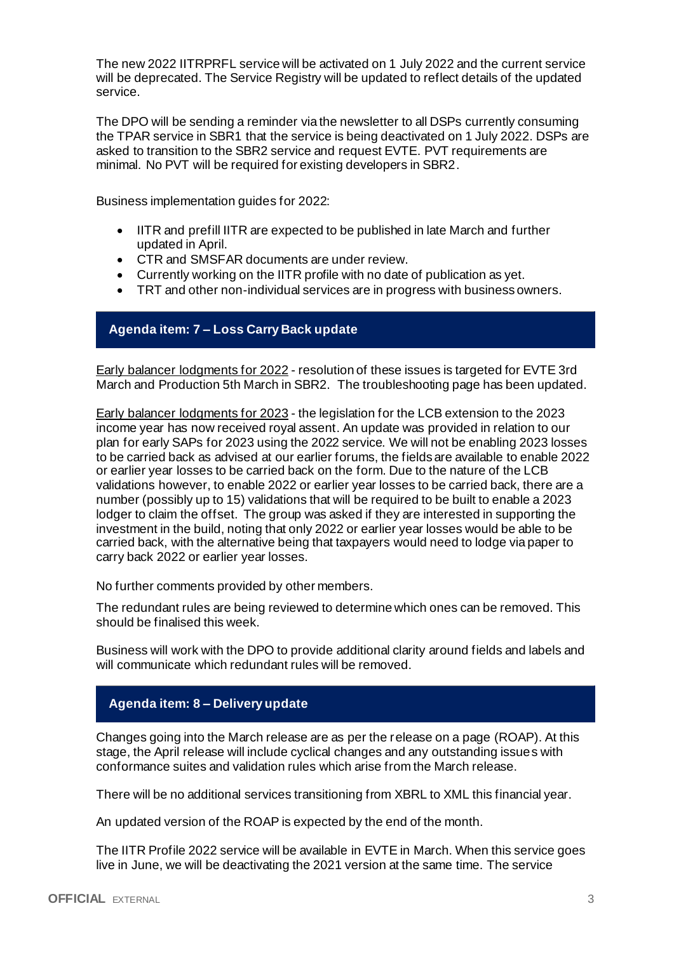The new 2022 IITRPRFL service will be activated on 1 July 2022 and the current service will be deprecated. The Service Registry will be updated to reflect details of the updated service.

The DPO will be sending a reminder via the newsletter to all DSPs currently consuming the TPAR service in SBR1 that the service is being deactivated on 1 July 2022. DSPs are asked to transition to the SBR2 service and request EVTE. PVT requirements are minimal. No PVT will be required for existing developers in SBR2.

Business implementation guides for 2022:

- IITR and prefill IITR are expected to be published in late March and further updated in April.
- CTR and SMSFAR documents are under review.
- Currently working on the IITR profile with no date of publication as yet.
- TRT and other non-individual services are in progress with business owners.

# **Agenda item: 7 – Loss Carry Back update**

Early balancer lodgments for 2022 - resolution of these issues is targeted for EVTE 3rd March and Production 5th March in SBR2. The troubleshooting page has been updated.

Early balancer lodgments for 2023 - the legislation for the LCB extension to the 2023 income year has now received royal assent. An update was provided in relation to our plan for early SAPs for 2023 using the 2022 service. We will not be enabling 2023 losses to be carried back as advised at our earlier forums, the fields are available to enable 2022 or earlier year losses to be carried back on the form. Due to the nature of the LCB validations however, to enable 2022 or earlier year losses to be carried back, there are a number (possibly up to 15) validations that will be required to be built to enable a 2023 lodger to claim the offset. The group was asked if they are interested in supporting the investment in the build, noting that only 2022 or earlier year losses would be able to be carried back, with the alternative being that taxpayers would need to lodge via paper to carry back 2022 or earlier year losses.

No further comments provided by other members.

The redundant rules are being reviewed to determine which ones can be removed. This should be finalised this week.

Business will work with the DPO to provide additional clarity around fields and labels and will communicate which redundant rules will be removed.

# **Agenda item: 8 – Delivery update**

Changes going into the March release are as per the release on a page (ROAP). At this stage, the April release will include cyclical changes and any outstanding issues with conformance suites and validation rules which arise from the March release.

There will be no additional services transitioning from XBRL to XML this financial year.

An updated version of the ROAP is expected by the end of the month.

The IITR Profile 2022 service will be available in EVTE in March. When this service goes live in June, we will be deactivating the 2021 version at the same time. The service